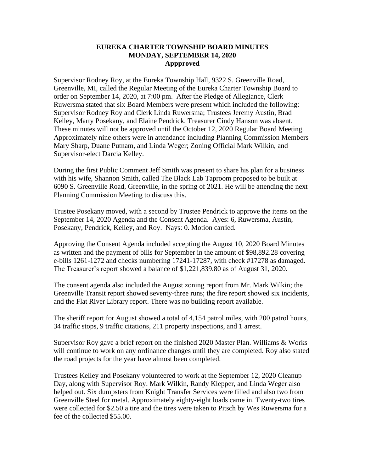## **EUREKA CHARTER TOWNSHIP BOARD MINUTES MONDAY, SEPTEMBER 14, 2020 Appproved**

Supervisor Rodney Roy, at the Eureka Township Hall, 9322 S. Greenville Road, Greenville, MI, called the Regular Meeting of the Eureka Charter Township Board to order on September 14, 2020, at 7:00 pm. After the Pledge of Allegiance, Clerk Ruwersma stated that six Board Members were present which included the following: Supervisor Rodney Roy and Clerk Linda Ruwersma; Trustees Jeremy Austin, Brad Kelley, Marty Posekany, and Elaine Pendrick. Treasurer Cindy Hanson was absent. These minutes will not be approved until the October 12, 2020 Regular Board Meeting. Approximately nine others were in attendance including Planning Commission Members Mary Sharp, Duane Putnam, and Linda Weger; Zoning Official Mark Wilkin, and Supervisor-elect Darcia Kelley.

During the first Public Comment Jeff Smith was present to share his plan for a business with his wife, Shannon Smith, called The Black Lab Taproom proposed to be built at 6090 S. Greenville Road, Greenville, in the spring of 2021. He will be attending the next Planning Commission Meeting to discuss this.

Trustee Posekany moved, with a second by Trustee Pendrick to approve the items on the September 14, 2020 Agenda and the Consent Agenda. Ayes: 6, Ruwersma, Austin, Posekany, Pendrick, Kelley, and Roy. Nays: 0. Motion carried.

Approving the Consent Agenda included accepting the August 10, 2020 Board Minutes as written and the payment of bills for September in the amount of \$98,892.28 covering e-bills 1261-1272 and checks numbering 17241-17287, with check #17278 as damaged. The Treasurer's report showed a balance of \$1,221,839.80 as of August 31, 2020.

The consent agenda also included the August zoning report from Mr. Mark Wilkin; the Greenville Transit report showed seventy-three runs; the fire report showed six incidents, and the Flat River Library report. There was no building report available.

The sheriff report for August showed a total of 4,154 patrol miles, with 200 patrol hours, 34 traffic stops, 9 traffic citations, 211 property inspections, and 1 arrest.

Supervisor Roy gave a brief report on the finished 2020 Master Plan. Williams & Works will continue to work on any ordinance changes until they are completed. Roy also stated the road projects for the year have almost been completed.

Trustees Kelley and Posekany volunteered to work at the September 12, 2020 Cleanup Day, along with Supervisor Roy. Mark Wilkin, Randy Klepper, and Linda Weger also helped out. Six dumpsters from Knight Transfer Services were filled and also two from Greenville Steel for metal. Approximately eighty-eight loads came in. Twenty-two tires were collected for \$2.50 a tire and the tires were taken to Pitsch by Wes Ruwersma for a fee of the collected \$55.00.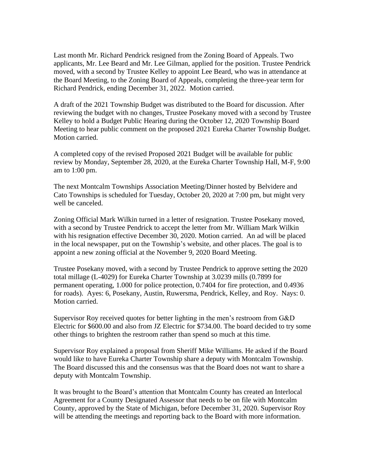Last month Mr. Richard Pendrick resigned from the Zoning Board of Appeals. Two applicants, Mr. Lee Beard and Mr. Lee Gilman, applied for the position. Trustee Pendrick moved, with a second by Trustee Kelley to appoint Lee Beard, who was in attendance at the Board Meeting, to the Zoning Board of Appeals, completing the three-year term for Richard Pendrick, ending December 31, 2022. Motion carried.

A draft of the 2021 Township Budget was distributed to the Board for discussion. After reviewing the budget with no changes, Trustee Posekany moved with a second by Trustee Kelley to hold a Budget Public Hearing during the October 12, 2020 Township Board Meeting to hear public comment on the proposed 2021 Eureka Charter Township Budget. Motion carried.

A completed copy of the revised Proposed 2021 Budget will be available for public review by Monday, September 28, 2020, at the Eureka Charter Township Hall, M-F, 9:00 am to 1:00 pm.

The next Montcalm Townships Association Meeting/Dinner hosted by Belvidere and Cato Townships is scheduled for Tuesday, October 20, 2020 at 7:00 pm, but might very well be canceled.

Zoning Official Mark Wilkin turned in a letter of resignation. Trustee Posekany moved, with a second by Trustee Pendrick to accept the letter from Mr. William Mark Wilkin with his resignation effective December 30, 2020. Motion carried. An ad will be placed in the local newspaper, put on the Township's website, and other places. The goal is to appoint a new zoning official at the November 9, 2020 Board Meeting.

Trustee Posekany moved, with a second by Trustee Pendrick to approve setting the 2020 total millage (L-4029) for Eureka Charter Township at 3.0239 mills (0.7899 for permanent operating, 1.000 for police protection, 0.7404 for fire protection, and 0.4936 for roads). Ayes: 6, Posekany, Austin, Ruwersma, Pendrick, Kelley, and Roy. Nays: 0. Motion carried.

Supervisor Roy received quotes for better lighting in the men's restroom from G&D Electric for \$600.00 and also from JZ Electric for \$734.00. The board decided to try some other things to brighten the restroom rather than spend so much at this time.

Supervisor Roy explained a proposal from Sheriff Mike Williams. He asked if the Board would like to have Eureka Charter Township share a deputy with Montcalm Township. The Board discussed this and the consensus was that the Board does not want to share a deputy with Montcalm Township.

It was brought to the Board's attention that Montcalm County has created an Interlocal Agreement for a County Designated Assessor that needs to be on file with Montcalm County, approved by the State of Michigan, before December 31, 2020. Supervisor Roy will be attending the meetings and reporting back to the Board with more information.